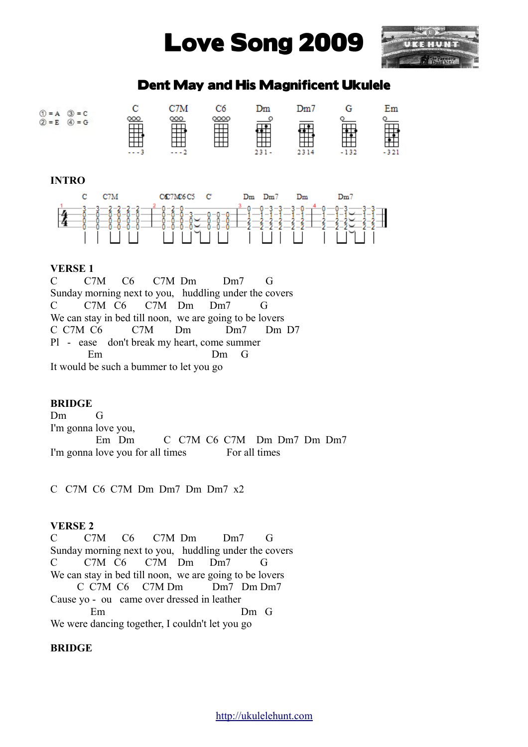# Love Song 2009



## Dent May and His Magnificent Ukulele



### **INTRO**



#### **VERSE 1**

C C7M C6 C7M Dm Dm7 G Sunday morning next to you, huddling under the covers C C7M C6 C7M Dm Dm7 G We can stay in bed till noon, we are going to be lovers C C7M C6 C7M Dm Dm7 Dm D7 Pl - ease don't break my heart, come summer Em Dm G It would be such a bummer to let you go

#### **BRIDGE**

Dm G I'm gonna love you, Em Dm C C7M C6 C7M Dm Dm7 Dm Dm7 I'm gonna love you for all times For all times

C C7M C6 C7M Dm Dm7 Dm Dm7 x2

#### **VERSE 2**

C C7M C6 C7M Dm Dm7 G Sunday morning next to you, huddling under the covers C C7M C6 C7M Dm Dm7 G We can stay in bed till noon, we are going to be lovers C C7M C6 C7M Dm Dm7 Dm Dm7 Cause yo - ou came over dressed in leather Em Dm G We were dancing together, I couldn't let you go

#### **BRIDGE**